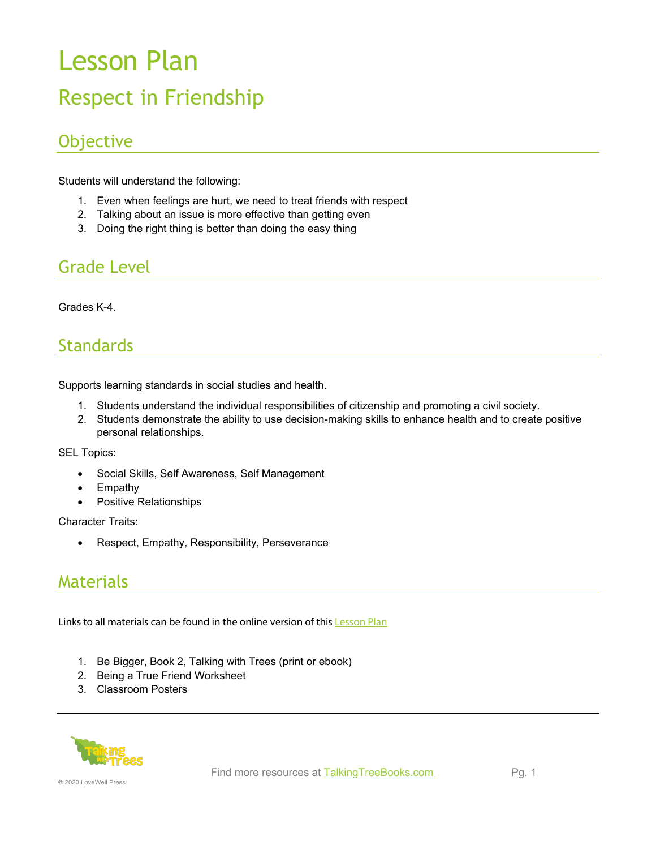# Lesson Plan Respect in Friendship

# **Objective**

Students will understand the following:

- 1. Even when feelings are hurt, we need to treat friends with respect
- 2. Talking about an issue is more effective than getting even
- 3. Doing the right thing is better than doing the easy thing

# Grade Level

Grades K-4.

### **Standards**

Supports learning standards in social studies and health.

- 1. Students understand the individual responsibilities of citizenship and promoting a civil society.
- 2. Students demonstrate the ability to use decision-making skills to enhance health and to create positive personal relationships.

SEL Topics:

- Social Skills, Self Awareness, Self Management
- Empathy
- Positive Relationships

Character Traits:

• Respect, Empathy, Responsibility, Perseverance

### Materials

Links to all materials can be found in the online version of this **[Lesson Plan](https://talkingtreebooks.com/teaching-resources-catalog/lesson-plans/respect-friendship-lesson-plan.html)** 

- 1. Be Bigger, Book 2, Talking with Trees (print or ebook)
- 2. Being a True Friend Worksheet
- 3. Classroom Posters

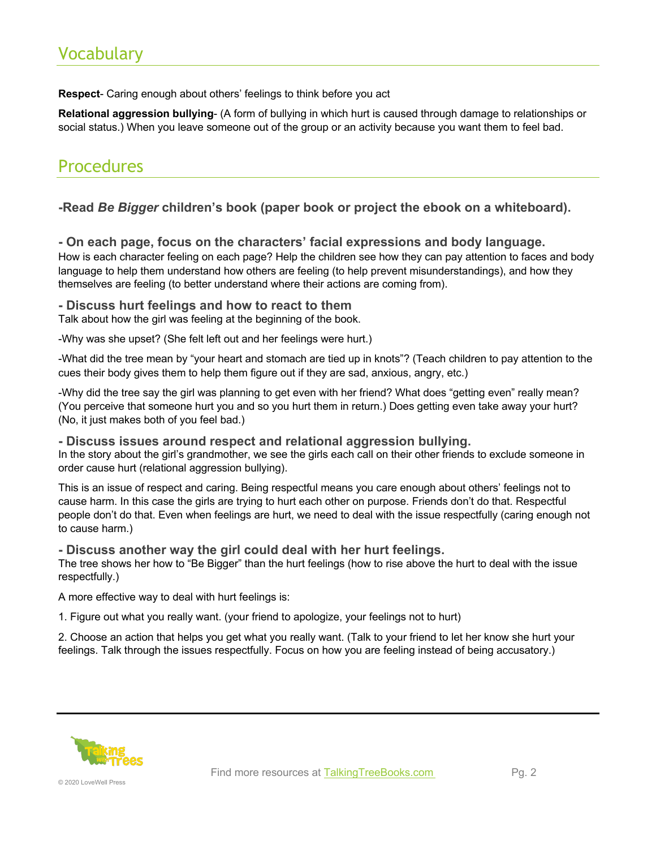## Vocabulary

**Respect**- Caring enough about others' feelings to think before you act

**Relational aggression bullying**- (A form of bullying in which hurt is caused through damage to relationships or social status.) When you leave someone out of the group or an activity because you want them to feel bad.

### **Procedures**

#### **-Read** *Be Bigger* **children's book (paper book or project the ebook on a whiteboard).**

**- On each page, focus on the characters' facial expressions and body language.** How is each character feeling on each page? Help the children see how they can pay attention to faces and body language to help them understand how others are feeling (to help prevent misunderstandings), and how they themselves are feeling (to better understand where their actions are coming from).

#### **- Discuss hurt feelings and how to react to them**

Talk about how the girl was feeling at the beginning of the book.

-Why was she upset? (She felt left out and her feelings were hurt.)

-What did the tree mean by "your heart and stomach are tied up in knots"? (Teach children to pay attention to the cues their body gives them to help them figure out if they are sad, anxious, angry, etc.)

-Why did the tree say the girl was planning to get even with her friend? What does "getting even" really mean? (You perceive that someone hurt you and so you hurt them in return.) Does getting even take away your hurt? (No, it just makes both of you feel bad.)

#### **- Discuss issues around respect and relational aggression bullying.**

In the story about the girl's grandmother, we see the girls each call on their other friends to exclude someone in order cause hurt (relational aggression bullying).

This is an issue of respect and caring. Being respectful means you care enough about others' feelings not to cause harm. In this case the girls are trying to hurt each other on purpose. Friends don't do that. Respectful people don't do that. Even when feelings are hurt, we need to deal with the issue respectfully (caring enough not to cause harm.)

#### **- Discuss another way the girl could deal with her hurt feelings.**

The tree shows her how to "Be Bigger" than the hurt feelings (how to rise above the hurt to deal with the issue respectfully.)

A more effective way to deal with hurt feelings is:

1. Figure out what you really want. (your friend to apologize, your feelings not to hurt)

2. Choose an action that helps you get what you really want. (Talk to your friend to let her know she hurt your feelings. Talk through the issues respectfully. Focus on how you are feeling instead of being accusatory.)